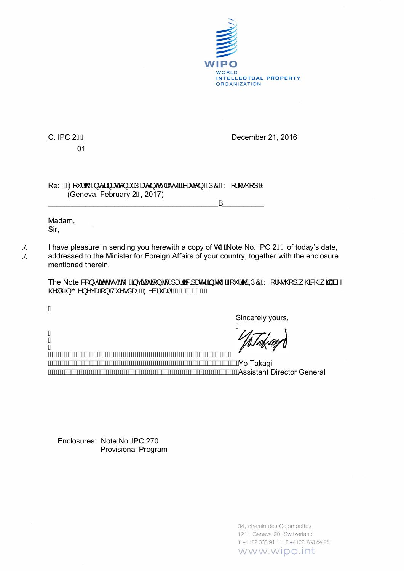

## 01

C. IPC 2 F December 21, 2016

 $Re: \hat{M}$  $Q$   $\check{N}$   $Q$   $\check{Q}$   $Q$   $Q$   $S$   $\hat{Q}$   $Q$   $\check{Q}$   $\hat{Q}$   $Q$   $\check{Q}$   $\hat{Q}$   $Q$   $Q$   $\check{Q}$   $\check{Q}$   $\check{Q}$   $Q$   $Q$   $\check{Q}$   $\check{Q}$   $\check{Q}$   $Q$   $\check{Q}$   $\check{Q}$   $\check{Q}$   $Q$   $\check{Q}$   $\check{Q}$   $Q$   $\check{Q}$   $\check{$ (Geneva, February 2F, 2017)

 $\overline{\phantom{a}}$  ,  $\overline{\phantom{a}}$  ,  $\overline{\phantom{a}}$  ,  $\overline{\phantom{a}}$  ,  $\overline{\phantom{a}}$  ,  $\overline{\phantom{a}}$  ,  $\overline{\phantom{a}}$  ,  $\overline{\phantom{a}}$  ,  $\overline{\phantom{a}}$  ,  $\overline{\phantom{a}}$  ,  $\overline{\phantom{a}}$  ,  $\overline{\phantom{a}}$  ,  $\overline{\phantom{a}}$  ,  $\overline{\phantom{a}}$  ,  $\overline{\phantom{a}}$  ,  $\overline{\phantom{a}}$ 

Madam, Sir,

I have pleasure in sending you herewith a copy of  $\mathbb{Q}^{\mathbb{A}}$  Alote No. IPC 2 $\mathbb{I} \in$  of today's date, addressed to the Minister for Foreign Affairs of your country, together with the enclosure mentioned therein.

The Note & ] · ca c'· Ac B A case T A (A secalar sec A A C A ' control O A [ | | | | 0] A GERGA TA A  $\otimes$  | a/  $\ddot{A}$   $\ddot{A}$   $\sim$   $\circ$   $\sim$   $\ddot{A}$   $\ddot{B}$   $\ddot{C}$   $\sim$   $\ddot{B}$   $\ddot{C}$   $\sim$   $\ddot{C}$   $\sim$   $\ddot{C}$   $\sim$   $\ddot{C}$   $\sim$   $\ddot{C}$   $\sim$   $\ddot{C}$   $\sim$   $\ddot{C}$   $\sim$   $\ddot{C}$   $\sim$   $\ddot{C}$   $\sim$   $\ddot{C}$ 

Á

./. ./.

> Á Ã  $\frac{1}{2}$

Sincerely yours,

 $\prime$ 

 Yo Takagi Assistant Director General

Enclosures: Note No.. IPC 270 [Provisional Program](http://www-dev.wipo.int/edocs/mdocs/classifications/en/ipc_wk_ge_17/ipc_wk_ge_17_1_prov.pdf) 

> 34, chemin des Colombettes 1211 Geneva 20, Switzerland T+4122 338 91 11 F+4122 733 54 28 www.wipo.int